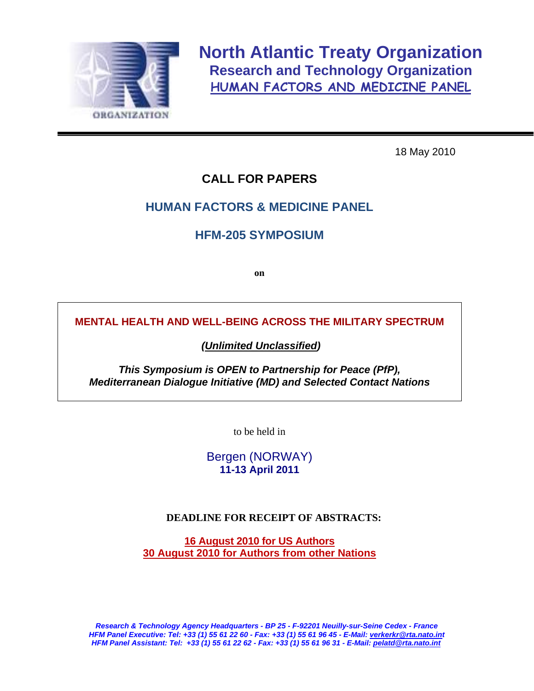

18 May 2010

# **CALL FOR PAPERS**

# **HUMAN FACTORS & MEDICINE PANEL**

# **HFM-205 SYMPOSIUM**

**on**

# **MENTAL HEALTH AND WELL-BEING ACROSS THE MILITARY SPECTRUM**

 *(Unlimited Unclassified)* 

*This Symposium is OPEN to Partnership for Peace (PfP), Mediterranean Dialogue Initiative (MD) and Selected Contact Nations* 

to be held in

Bergen (NORWAY) **11-13 April 2011** 

**DEADLINE FOR RECEIPT OF ABSTRACTS:** 

**16 August 2010 for US Authors 30 August 2010 for Authors from other Nations**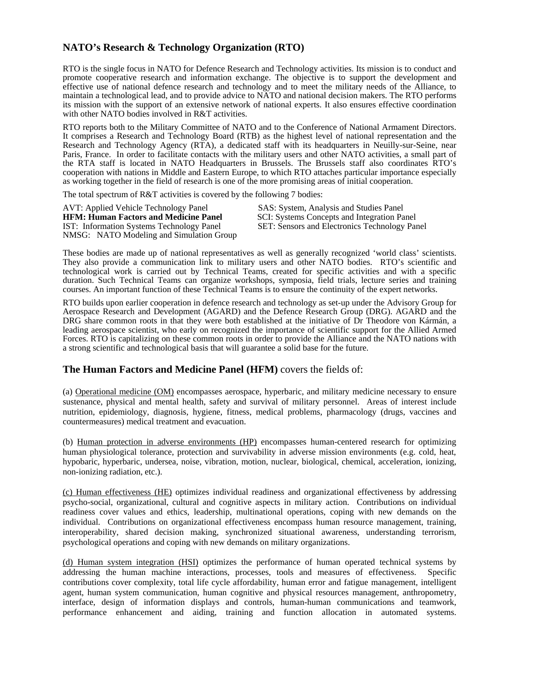## **NATO's Research & Technology Organization (RTO)**

RTO is the single focus in NATO for Defence Research and Technology activities. Its mission is to conduct and promote cooperative research and information exchange. The objective is to support the development and effective use of national defence research and technology and to meet the military needs of the Alliance, to maintain a technological lead, and to provide advice to NATO and national decision makers. The RTO performs its mission with the support of an extensive network of national experts. It also ensures effective coordination with other NATO bodies involved in R&T activities.

RTO reports both to the Military Committee of NATO and to the Conference of National Armament Directors. It comprises a Research and Technology Board (RTB) as the highest level of national representation and the Research and Technology Agency (RTA), a dedicated staff with its headquarters in Neuilly-sur-Seine, near Paris, France. In order to facilitate contacts with the military users and other NATO activities, a small part of the RTA staff is located in NATO Headquarters in Brussels. The Brussels staff also coordinates RTO's cooperation with nations in Middle and Eastern Europe, to which RTO attaches particular importance especially as working together in the field of research is one of the more promising areas of initial cooperation.

The total spectrum of R&T activities is covered by the following 7 bodies:

AVT: Applied Vehicle Technology Panel SAS: System, Analysis and Studies Panel<br> **HFM: Human Factors and Medicine Panel** SCI: Systems Concepts and Integration Panel **HFM: Human Factors and Medicine Panel IST: Information Systems Technology Panel** NMSG: NATO Modeling and Simulation Group

SET: Sensors and Electronics Technology Panel

These bodies are made up of national representatives as well as generally recognized 'world class' scientists. They also provide a communication link to military users and other NATO bodies. RTO's scientific and technological work is carried out by Technical Teams, created for specific activities and with a specific duration. Such Technical Teams can organize workshops, symposia, field trials, lecture series and training courses. An important function of these Technical Teams is to ensure the continuity of the expert networks.

RTO builds upon earlier cooperation in defence research and technology as set-up under the Advisory Group for Aerospace Research and Development (AGARD) and the Defence Research Group (DRG). AGARD and the DRG share common roots in that they were both established at the initiative of Dr Theodore von Kármán, a leading aerospace scientist, who early on recognized the importance of scientific support for the Allied Armed Forces. RTO is capitalizing on these common roots in order to provide the Alliance and the NATO nations with a strong scientific and technological basis that will guarantee a solid base for the future.

### **The Human Factors and Medicine Panel (HFM)** covers the fields of:

(a) Operational medicine (OM) encompasses aerospace, hyperbaric, and military medicine necessary to ensure sustenance, physical and mental health, safety and survival of military personnel. Areas of interest include nutrition, epidemiology, diagnosis, hygiene, fitness, medical problems, pharmacology (drugs, vaccines and countermeasures) medical treatment and evacuation.

(b) Human protection in adverse environments (HP) encompasses human-centered research for optimizing human physiological tolerance, protection and survivability in adverse mission environments (e.g. cold, heat, hypobaric, hyperbaric, undersea, noise, vibration, motion, nuclear, biological, chemical, acceleration, ionizing, non-ionizing radiation, etc.).

(c) Human effectiveness (HE) optimizes individual readiness and organizational effectiveness by addressing psycho-social, organizational, cultural and cognitive aspects in military action. Contributions on individual readiness cover values and ethics, leadership, multinational operations, coping with new demands on the individual. Contributions on organizational effectiveness encompass human resource management, training, interoperability, shared decision making, synchronized situational awareness, understanding terrorism, psychological operations and coping with new demands on military organizations.

(d) Human system integration (HSI) optimizes the performance of human operated technical systems by addressing the human machine interactions, processes, tools and measures of effectiveness. Specific contributions cover complexity, total life cycle affordability, human error and fatigue management, intelligent agent, human system communication, human cognitive and physical resources management, anthropometry, interface, design of information displays and controls, human-human communications and teamwork, performance enhancement and aiding, training and function allocation in automated systems.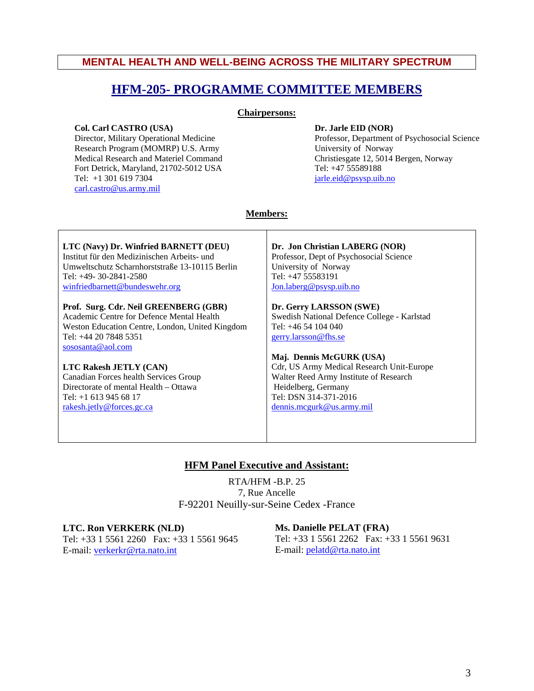## **MENTAL HEALTH AND WELL-BEING ACROSS THE MILITARY SPECTRUM**

# **HFM-205- PROGRAMME COMMITTEE MEMBERS**

#### **Chairpersons:**

#### **Col. Carl CASTRO (USA)**

Director, Military Operational Medicine Research Program (MOMRP) U.S. Army Medical Research and Materiel Command Fort Detrick, Maryland, 21702-5012 USA Tel: +1 301 619 7304 [carl.castro@us.army.mil](mailto:carl.castro@us.army.mil) 

#### **Dr. Jarle EID (NOR)**

Professor, Department of Psychosocial Science University of Norway Christiesgate 12, 5014 Bergen, Norway Tel: +47 55589188 [jarle.eid@psysp.uib.no](mailto:jarle.eid@psysp.uib.no)

### **Members:**

#### **LTC (Navy) Dr. Winfried BARNETT (DEU)**  Institut für den Medizinischen Arbeits- und

Umweltschutz Scharnhorststraße 13-10115 Berlin Tel: +49- 30-2841-2580 [winfriedbarnett@bundeswehr.org](mailto:winfriedbarnett@bundeswehr.org)

**Prof. Surg. Cdr. Neil GREENBERG (GBR)**  Academic Centre for Defence Mental Health Weston Education Centre, London, United Kingdom Tel: +44 20 7848 5351 [sososanta@aol.com](mailto:sososanta@aol.com) 

**LTC Rakesh JETLY (CAN)**  Canadian Forces health Services Group Directorate of mental Health – Ottawa Tel: +1 613 945 68 17 [rakesh.jetly@forces.gc.ca](mailto:rakesh.jetly@forces.gc.ca)

**Dr. Jon Christian LABERG (NOR)**  Professor, Dept of Psychosocial Science University of Norway Tel: +47 55583191 [Jon.laberg@psysp.uib.no](mailto:Jon.laberg@psysp.uib.no)

**Dr. Gerry LARSSON (SWE)**  Swedish National Defence College - Karlstad Tel: +46 54 104 040 [gerry.larsson@fhs.se](mailto:gerry.larsson@fhs.se)

**Maj. Dennis McGURK (USA)**  Cdr, US Army Medical Research Unit-Europe Walter Reed Army Institute of Research Heidelberg, Germany Tel: DSN 314-371-2016 [dennis.mcgurk@us.army.mil](mailto:dennis.mcgurk@us.army.mil)

## **HFM Panel Executive and Assistant:**

RTA/HFM -B.P. 25 7, Rue Ancelle F-92201 Neuilly-sur-Seine Cedex -France

**LTC. Ron VERKERK (NLD)** 

Tel: +33 1 5561 2260 Fax: +33 1 5561 9645 E-mail: verkerkr@rta.nato.int

#### **Ms. Danielle PELAT (FRA)**

Tel: +33 1 5561 2262 Fax: +33 1 5561 9631 E-mail: pelatd@rta.nato.int

#### 3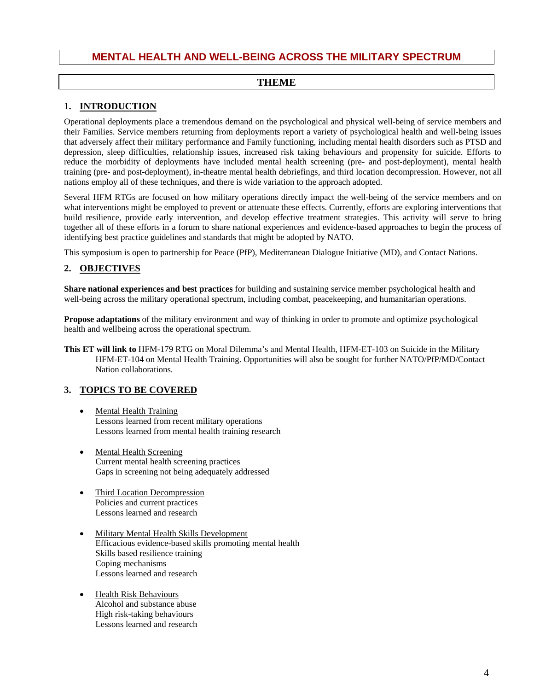## **MENTAL HEALTH AND WELL-BEING ACROSS THE MILITARY SPECTRUM**

#### **THEME**

#### **1. INTRODUCTION**

Operational deployments place a tremendous demand on the psychological and physical well-being of service members and their Families. Service members returning from deployments report a variety of psychological health and well-being issues that adversely affect their military performance and Family functioning, including mental health disorders such as PTSD and depression, sleep difficulties, relationship issues, increased risk taking behaviours and propensity for suicide. Efforts to reduce the morbidity of deployments have included mental health screening (pre- and post-deployment), mental health training (pre- and post-deployment), in-theatre mental health debriefings, and third location decompression. However, not all nations employ all of these techniques, and there is wide variation to the approach adopted.

Several HFM RTGs are focused on how military operations directly impact the well-being of the service members and on what interventions might be employed to prevent or attenuate these effects. Currently, efforts are exploring interventions that build resilience, provide early intervention, and develop effective treatment strategies. This activity will serve to bring together all of these efforts in a forum to share national experiences and evidence-based approaches to begin the process of identifying best practice guidelines and standards that might be adopted by NATO.

This symposium is open to partnership for Peace (PfP), Mediterranean Dialogue Initiative (MD), and Contact Nations.

### **2. OBJECTIVES**

**Share national experiences and best practices** for building and sustaining service member psychological health and well-being across the military operational spectrum, including combat, peacekeeping, and humanitarian operations.

**Propose adaptations** of the military environment and way of thinking in order to promote and optimize psychological health and wellbeing across the operational spectrum.

**This ET will link to** HFM-179 RTG on Moral Dilemma's and Mental Health, HFM-ET-103 on Suicide in the Military HFM-ET-104 on Mental Health Training. Opportunities will also be sought for further NATO/PfP/MD/Contact Nation collaborations.

#### **3. TOPICS TO BE COVERED**

- Mental Health Training Lessons learned from recent military operations Lessons learned from mental health training research
- Mental Health Screening Current mental health screening practices Gaps in screening not being adequately addressed
- Third Location Decompression Policies and current practices Lessons learned and research
- Military Mental Health Skills Development Efficacious evidence-based skills promoting mental health Skills based resilience training Coping mechanisms Lessons learned and research
- Health Risk Behaviours Alcohol and substance abuse High risk-taking behaviours Lessons learned and research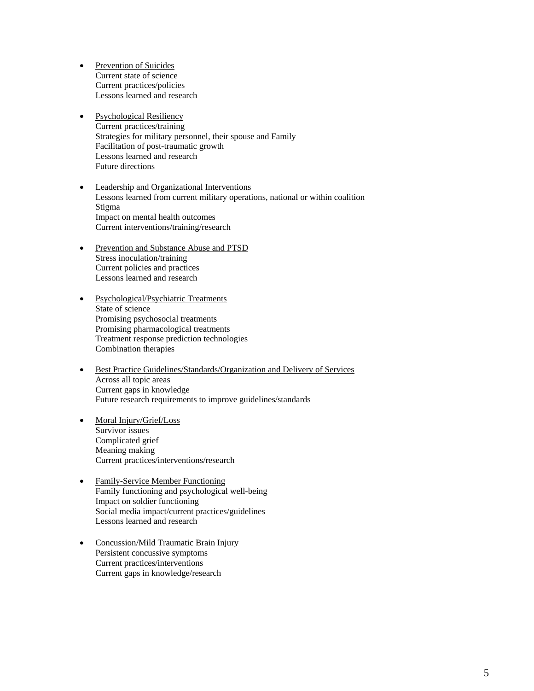- Prevention of Suicides Current state of science Current practices/policies Lessons learned and research
- Psychological Resiliency Current practices/training Strategies for military personnel, their spouse and Family Facilitation of post-traumatic growth Lessons learned and research Future directions
- Leadership and Organizational Interventions Lessons learned from current military operations, national or within coalition Stigma Impact on mental health outcomes Current interventions/training/research
- Prevention and Substance Abuse and PTSD Stress inoculation/training Current policies and practices Lessons learned and research
- Psychological/Psychiatric Treatments State of science Promising psychosocial treatments Promising pharmacological treatments Treatment response prediction technologies Combination therapies
- **Best Practice Guidelines/Standards/Organization and Delivery of Services** Across all topic areas Current gaps in knowledge Future research requirements to improve guidelines/standards
- Moral Injury/Grief/Loss Survivor issues Complicated grief Meaning making Current practices/interventions/research
- Family-Service Member Functioning Family functioning and psychological well-being Impact on soldier functioning Social media impact/current practices/guidelines Lessons learned and research
- Concussion/Mild Traumatic Brain Injury Persistent concussive symptoms Current practices/interventions Current gaps in knowledge/research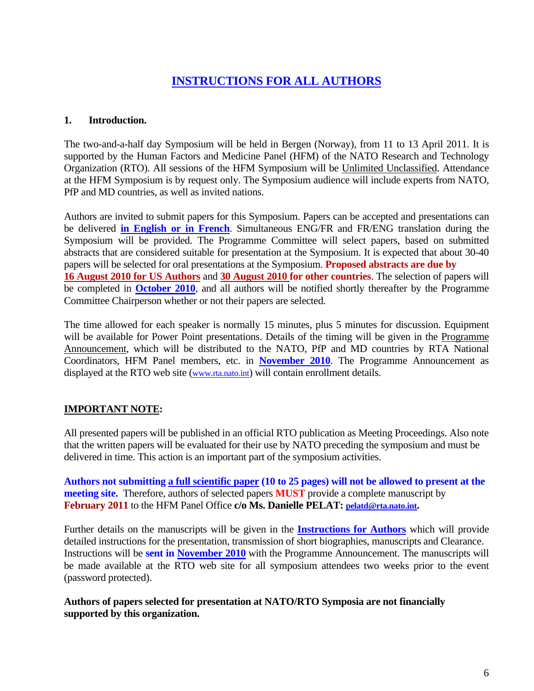# **INSTRUCTIONS FOR ALL AUTHORS**

## **1. Introduction.**

The two-and-a-half day Symposium will be held in Bergen (Norway), from 11 to 13 April 2011. It is supported by the Human Factors and Medicine Panel (HFM) of the NATO Research and Technology Organization (RTO). All sessions of the HFM Symposium will be Unlimited Unclassified. Attendance at the HFM Symposium is by request only. The Symposium audience will include experts from NATO, PfP and MD countries, as well as invited nations.

Authors are invited to submit papers for this Symposium. Papers can be accepted and presentations can be delivered **in English or in French**. Simultaneous ENG/FR and FR/ENG translation during the Symposium will be provided. The Programme Committee will select papers, based on submitted abstracts that are considered suitable for presentation at the Symposium. It is expected that about 30-40 papers will be selected for oral presentations at the Symposium. **Proposed abstracts are due by 16 August 2010 for US Authors** and **30 August 2010 for other countries**. The selection of papers will be completed in **October 2010**, and all authors will be notified shortly thereafter by the Programme Committee Chairperson whether or not their papers are selected.

The time allowed for each speaker is normally 15 minutes, plus 5 minutes for discussion. Equipment will be available for Power Point presentations. Details of the timing will be given in the Programme Announcement, which will be distributed to the NATO, PfP and MD countries by RTA National Coordinators, HFM Panel members, etc. in **November 2010**. The Programme Announcement as displayed at the RTO web site ([www.rta.nato.int\)](http://www.rta.nato.int/) will contain enrollment details.

## **IMPORTANT NOTE:**

All presented papers will be published in an official RTO publication as Meeting Proceedings. Also note that the written papers will be evaluated for their use by NATO preceding the symposium and must be delivered in time. This action is an important part of the symposium activities.

**Authors not submitting a full scientific paper (10 to 25 pages) will not be allowed to present at the meeting site.** Therefore, authors of selected papers **MUST** provide a complete manuscript by **February 2011** to the HFM Panel Office **c/o Ms. Danielle PELAT: [pelatd@rta.nato.int](mailto:pelatd@rta.nato.int).** 

Further details on the manuscripts will be given in the **Instructions for Authors** which will provide detailed instructions for the presentation, transmission of short biographies, manuscripts and Clearance. Instructions will be **sent in November 2010** with the Programme Announcement. The manuscripts will be made available at the RTO web site for all symposium attendees two weeks prior to the event (password protected).

**Authors of papers selected for presentation at NATO/RTO Symposia are not financially supported by this organization.**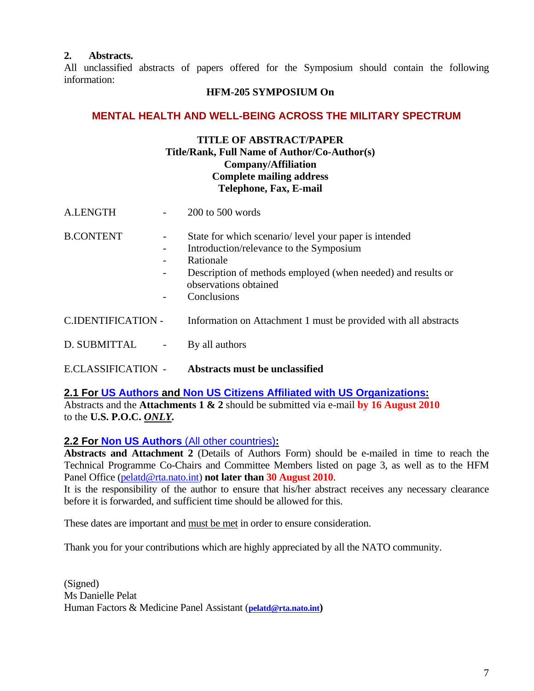## **2. Abstracts.**

All unclassified abstracts of papers offered for the Symposium should contain the following information:

## **HFM-205 SYMPOSIUM On**

## **MENTAL HEALTH AND WELL-BEING ACROSS THE MILITARY SPECTRUM**

### **TITLE OF ABSTRACT/PAPER Title/Rank, Full Name of Author/Co-Author(s) Company/Affiliation Complete mailing address Telephone, Fax, E-mail**

| <b>A.LENGTH</b>           |                                                           | $200$ to $500$ words                                                                                                                                                                                                   |
|---------------------------|-----------------------------------------------------------|------------------------------------------------------------------------------------------------------------------------------------------------------------------------------------------------------------------------|
| <b>B.CONTENT</b>          | -<br>$\overline{\phantom{0}}$<br>$\overline{\phantom{a}}$ | State for which scenario/ level your paper is intended<br>Introduction/relevance to the Symposium<br>Rationale<br>Description of methods employed (when needed) and results or<br>observations obtained<br>Conclusions |
| <b>C.IDENTIFICATION -</b> |                                                           | Information on Attachment 1 must be provided with all abstracts                                                                                                                                                        |
| D. SUBMITTAL              | $\overline{\phantom{a}}$                                  | By all authors                                                                                                                                                                                                         |
| E.CLASSIFICATION -        |                                                           | Abstracts must be unclassified                                                                                                                                                                                         |

# **2.1 For US Authors and Non US Citizens Affiliated with US Organizations:**

Abstracts and the **Attachments 1 & 2** should be submitted via e-mail **by 16 August 2010** to the **U.S. P.O.C.** *ONLY.*

## **2.2 For Non US Authors** (All other countries)**:**

**Abstracts and Attachment 2** (Details of Authors Form) should be e-mailed in time to reach the Technical Programme Co-Chairs and Committee Members listed on page 3, as well as to the HFM Panel Office ([pelatd@rta.nato.int](mailto:pelatd@rta.nato.int)) **not later than 30 August 2010**.

It is the responsibility of the author to ensure that his/her abstract receives any necessary clearance before it is forwarded, and sufficient time should be allowed for this.

These dates are important and must be met in order to ensure consideration.

Thank you for your contributions which are highly appreciated by all the NATO community.

(Signed) Ms Danielle Pelat Human Factors & Medicine Panel Assistant (**[pelatd@rta.nato.int](mailto:pelatd@rta.nato.int))**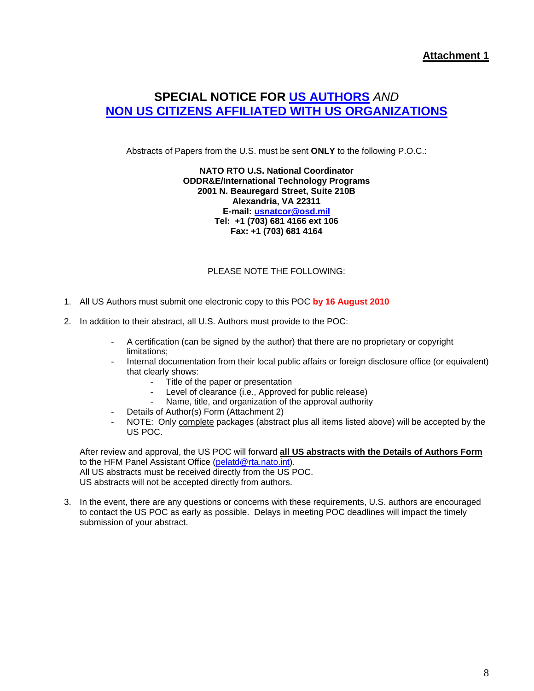**Attachment 1**

# **SPECIAL NOTICE FOR US AUTHORS** *AND* **NON US CITIZENS AFFILIATED WITH US ORGANIZATIONS**

Abstracts of Papers from the U.S. must be sent **ONLY** to the following P.O.C.:

#### **NATO RTO U.S. National Coordinator ODDR&E/International Technology Programs 2001 N. Beauregard Street, Suite 210B Alexandria, VA 22311 E-mail: [usnatcor@osd.mil](mailto:usnatcor@osd.mil)  Tel: +1 (703) 681 4166 ext 106 Fax: +1 (703) 681 4164**

### PLEASE NOTE THE FOLLOWING:

- 1. All US Authors must submit one electronic copy to this POC **by 16 August 2010**
- 2. In addition to their abstract, all U.S. Authors must provide to the POC:
	- A certification (can be signed by the author) that there are no proprietary or copyright limitations;
	- Internal documentation from their local public affairs or foreign disclosure office (or equivalent) that clearly shows:
		- Title of the paper or presentation
		- Level of clearance (i.e., Approved for public release)
		- Name, title, and organization of the approval authority
	- Details of Author(s) Form (Attachment 2)
	- NOTE: Only complete packages (abstract plus all items listed above) will be accepted by the US POC.

After review and approval, the US POC will forward **all US abstracts with the Details of Authors Form** to the HFM Panel Assistant Office ([pelatd@rta.nato.int](mailto:pelatd@rta.nato.int)). All US abstracts must be received directly from the US POC. US abstracts will not be accepted directly from authors.

3. In the event, there are any questions or concerns with these requirements, U.S. authors are encouraged to contact the US POC as early as possible. Delays in meeting POC deadlines will impact the timely submission of your abstract.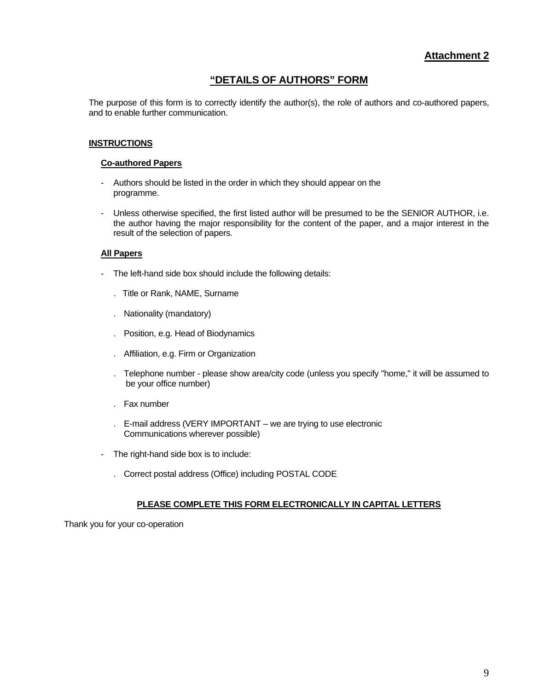### **Attachment 2**

## **"DETAILS OF AUTHORS" FORM**

The purpose of this form is to correctly identify the author(s), the role of authors and co-authored papers, and to enable further communication.

#### **INSTRUCTIONS**

#### **Co-authored Papers**

- Authors should be listed in the order in which they should appear on the programme.
- Unless otherwise specified, the first listed author will be presumed to be the SENIOR AUTHOR, i.e. the author having the major responsibility for the content of the paper, and a major interest in the result of the selection of papers.

#### **All Papers**

- The left-hand side box should include the following details:
	- . Title or Rank, NAME, Surname
	- . Nationality (mandatory)
	- . Position, e.g. Head of Biodynamics
	- . Affiliation, e.g. Firm or Organization
	- . Telephone number please show area/city code (unless you specify "home," it will be assumed to be your office number)
	- . Fax number
	- . E-mail address (VERY IMPORTANT we are trying to use electronic Communications wherever possible)
- The right-hand side box is to include:
	- . Correct postal address (Office) including POSTAL CODE

#### **PLEASE COMPLETE THIS FORM ELECTRONICALLY IN CAPITAL LETTERS**

Thank you for your co-operation